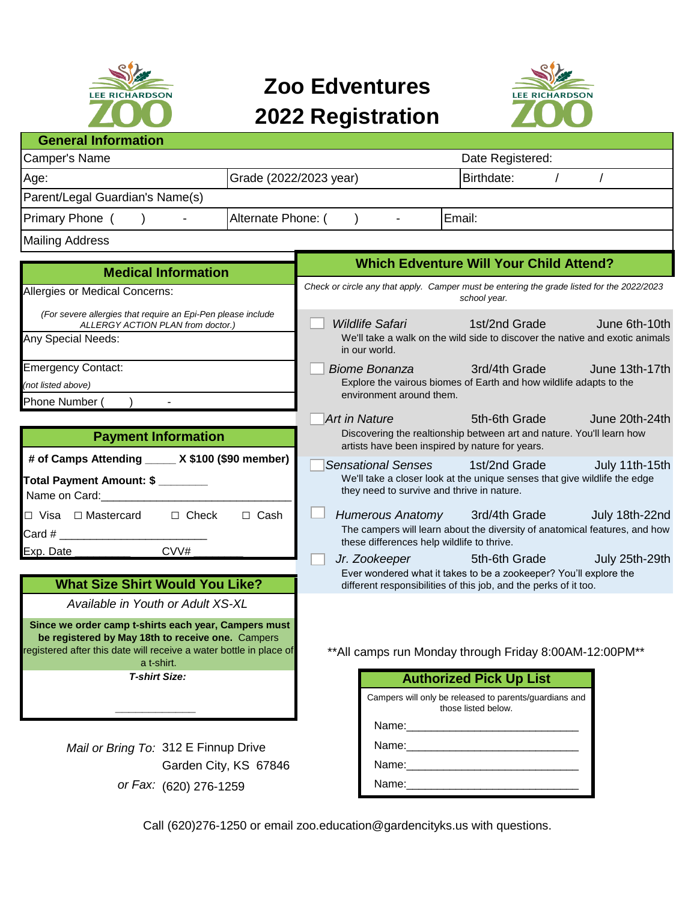

## **Zoo Edventures 2022 Registration**



## **General Information**

| Camper's Name                   |                        | Date Registered:  |  |  |
|---------------------------------|------------------------|-------------------|--|--|
| Age:                            | Grade (2022/2023 year) | <b>Birthdate:</b> |  |  |
| Parent/Legal Guardian's Name(s) |                        |                   |  |  |
| <b>Primary Phone</b>            | Alternate Phone: (     | Email:            |  |  |
| <b>Mailing Address</b>          |                        |                   |  |  |

| <b>Medical Information</b>                                                                                                                     | <b>Which Edventure Will Your Child Attend?</b>                                                                                                                                                              |  |
|------------------------------------------------------------------------------------------------------------------------------------------------|-------------------------------------------------------------------------------------------------------------------------------------------------------------------------------------------------------------|--|
| Allergies or Medical Concerns:                                                                                                                 | Check or circle any that apply. Camper must be entering the grade listed for the 2022/2023<br>school year.                                                                                                  |  |
| (For severe allergies that require an Epi-Pen please include<br>ALLERGY ACTION PLAN from doctor.)<br>Any Special Needs:                        | Wildlife Safari                             1st/2nd Grade<br>June 6th-10th<br>We'll take a walk on the wild side to discover the native and exotic animals<br>in our world.                                 |  |
| <b>Emergency Contact:</b><br>(not listed above)<br>Phone Number (                                                                              | Biome Bonanza and/4th Grade<br>June 13th-17th<br>Explore the vairous biomes of Earth and how wildlife adapts to the<br>environment around them.                                                             |  |
| <b>Payment Information</b>                                                                                                                     | Art in Nature <b>Articular Art in Nature</b><br>5th-6th Grade<br>June 20th-24th<br>Discovering the realtionship between art and nature. You'll learn how<br>artists have been inspired by nature for years. |  |
| # of Camps Attending _____ X \$100 (\$90 member)<br>Total Payment Amount: \$<br>Name on Card: Name on Card:                                    | Sensational Senses 1st/2nd Grade<br>July 11th-15th<br>We'll take a closer look at the unique senses that give wildlife the edge<br>they need to survive and thrive in nature.                               |  |
| □ Visa □ Mastercard<br>$\Box$ Cash<br>$\Box$ Check<br>$\mathsf{Card} \; \#$                                                                    | Humerous Anatomy 3rd/4th Grade<br>July 18th-22nd<br>The campers will learn about the diversity of anatomical features, and how<br>these differences help wildlife to thrive.                                |  |
| CVV#<br>Exp. Date<br><b>What Size Shirt Would You Like?</b>                                                                                    | Jr. Zookeeper<br>5th-6th Grade<br>July 25th-29th<br>Ever wondered what it takes to be a zookeeper? You'll explore the<br>different responsibilities of this job, and the perks of it too.                   |  |
| Available in Youth or Adult XS-XL<br>Since we order camp t-shirts each year, Campers must<br>be registered by May 18th to receive one. Campers |                                                                                                                                                                                                             |  |
| registered after this date will receive a water bottle in place of<br>a t-shirt.                                                               | **All camps run Monday through Friday 8:00AM-12:00PM**                                                                                                                                                      |  |

Mail or Bring To: 312 E Finnup Drive Name: Name: Name: Name: Name: Name: Name: Name: Name: Name: Name: Name: Name: Name: Name: Name: Name: Name: Name: Name: Name: Name: Name: Name: Name: Name: Name: Name: Name: Name: Name: Garden City, KS 67846

| <b>T-shirt Size:</b>        | <b>Authorized Pick Up List</b>                                                |
|-----------------------------|-------------------------------------------------------------------------------|
|                             | Campers will only be released to parents/guardians and<br>those listed below. |
|                             | Name:                                                                         |
| ring To: 312 E Finnup Drive | Name:                                                                         |
| Garden City, KS 67846       | Name:                                                                         |
| or Fax: (620) 276-1259      | Name:                                                                         |

Call (620)276-1250 or email zoo.education@gardencityks.us with questions.